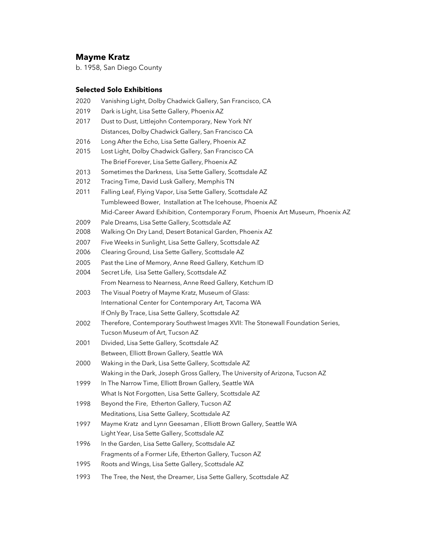# **Mayme Kratz**

b. 1958, San Diego County

### **Selected Solo Exhibitions**

- 2020 Vanishing Light, Dolby Chadwick Gallery, San Francisco, CA 2019 Dark is Light, Lisa Sette Gallery, Phoenix AZ
- 2017 Dust to Dust, Littlejohn Contemporary, New York NY Distances, Dolby Chadwick Gallery, San Francisco CA
- 2016 Long After the Echo, Lisa Sette Gallery, Phoenix AZ
- 2015 Lost Light, Dolby Chadwick Gallery, San Francisco CA The Brief Forever, Lisa Sette Gallery, Phoenix AZ
- 2013 Sometimes the Darkness, Lisa Sette Gallery, Scottsdale AZ
- 2012 Tracing Time, David Lusk Gallery, Memphis TN
- 2011 Falling Leaf, Flying Vapor, Lisa Sette Gallery, Scottsdale AZ Tumbleweed Bower, Installation at The Icehouse, Phoenix AZ Mid-Career Award Exhibition, Contemporary Forum, Phoenix Art Museum, Phoenix AZ
- 2009 Pale Dreams, Lisa Sette Gallery, Scottsdale AZ
- 2008 Walking On Dry Land, Desert Botanical Garden, Phoenix AZ
- 2007 Five Weeks in Sunlight, Lisa Sette Gallery, Scottsdale AZ
- 2006 Clearing Ground, Lisa Sette Gallery, Scottsdale AZ
- 2005 Past the Line of Memory, Anne Reed Gallery, Ketchum ID
- 2004 Secret Life, Lisa Sette Gallery, Scottsdale AZ From Nearness to Nearness, Anne Reed Gallery, Ketchum ID
- 2003 The Visual Poetry of Mayme Kratz, Museum of Glass: International Center for Contemporary Art, Tacoma WA If Only By Trace, Lisa Sette Gallery, Scottsdale AZ
- 2002 Therefore, Contemporary Southwest Images XVII: The Stonewall Foundation Series, Tucson Museum of Art, Tucson AZ
- 2001 Divided, Lisa Sette Gallery, Scottsdale AZ Between, Elliott Brown Gallery, Seattle WA
- 2000 Waking in the Dark, Lisa Sette Gallery, Scottsdale AZ Waking in the Dark, Joseph Gross Gallery, The University of Arizona, Tucson AZ
- 1999 In The Narrow Time, Elliott Brown Gallery, Seattle WA What Is Not Forgotten, Lisa Sette Gallery, Scottsdale AZ
- 1998 Beyond the Fire, Etherton Gallery, Tucson AZ Meditations, Lisa Sette Gallery, Scottsdale AZ
- 1997 Mayme Kratz and Lynn Geesaman , Elliott Brown Gallery, Seattle WA Light Year, Lisa Sette Gallery, Scottsdale AZ
- 1996 In the Garden, Lisa Sette Gallery, Scottsdale AZ Fragments of a Former Life, Etherton Gallery, Tucson AZ
- 1995 Roots and Wings, Lisa Sette Gallery, Scottsdale AZ
- 1993 The Tree, the Nest, the Dreamer, Lisa Sette Gallery, Scottsdale AZ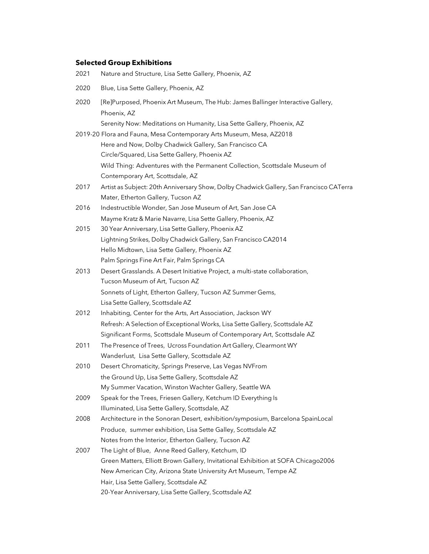# **Selected Group Exhibitions**

| 2021 | Nature and Structure, Lisa Sette Gallery, Phoenix, AZ                                                                                                                                                                                                                                                           |
|------|-----------------------------------------------------------------------------------------------------------------------------------------------------------------------------------------------------------------------------------------------------------------------------------------------------------------|
| 2020 | Blue, Lisa Sette Gallery, Phoenix, AZ                                                                                                                                                                                                                                                                           |
| 2020 | [Re]Purposed, Phoenix Art Museum, The Hub: James Ballinger Interactive Gallery,<br>Phoenix, AZ<br>Serenity Now: Meditations on Humanity, Lisa Sette Gallery, Phoenix, AZ                                                                                                                                        |
|      | 2019-20 Flora and Fauna, Mesa Contemporary Arts Museum, Mesa, AZ2018<br>Here and Now, Dolby Chadwick Gallery, San Francisco CA<br>Circle/Squared, Lisa Sette Gallery, Phoenix AZ<br>Wild Thing: Adventures with the Permanent Collection, Scottsdale Museum of                                                  |
|      | Contemporary Art, Scottsdale, AZ                                                                                                                                                                                                                                                                                |
| 2017 | Artist as Subject: 20th Anniversary Show, Dolby Chadwick Gallery, San Francisco CATerra<br>Mater, Etherton Gallery, Tucson AZ                                                                                                                                                                                   |
| 2016 | Indestructible Wonder, San Jose Museum of Art, San Jose CA<br>Mayme Kratz & Marie Navarre, Lisa Sette Gallery, Phoenix, AZ                                                                                                                                                                                      |
| 2015 | 30 Year Anniversary, Lisa Sette Gallery, Phoenix AZ<br>Lightning Strikes, Dolby Chadwick Gallery, San Francisco CA2014<br>Hello Midtown, Lisa Sette Gallery, Phoenix AZ<br>Palm Springs Fine Art Fair, Palm Springs CA                                                                                          |
| 2013 | Desert Grasslands. A Desert Initiative Project, a multi-state collaboration,<br>Tucson Museum of Art, Tucson AZ<br>Sonnets of Light, Etherton Gallery, Tucson AZ Summer Gems,<br>Lisa Sette Gallery, Scottsdale AZ                                                                                              |
| 2012 | Inhabiting, Center for the Arts, Art Association, Jackson WY<br>Refresh: A Selection of Exceptional Works, Lisa Sette Gallery, Scottsdale AZ<br>Significant Forms, Scottsdale Museum of Contemporary Art, Scottsdale AZ                                                                                         |
| 2011 | The Presence of Trees, Ucross Foundation Art Gallery, Clearmont WY<br>Wanderlust, Lisa Sette Gallery, Scottsdale AZ                                                                                                                                                                                             |
| 2010 | Desert Chromaticity, Springs Preserve, Las Vegas NVFrom<br>the Ground Up, Lisa Sette Gallery, Scottsdale AZ<br>My Summer Vacation, Winston Wachter Gallery, Seattle WA                                                                                                                                          |
| 2009 | Speak for the Trees, Friesen Gallery, Ketchum ID Everything Is<br>Illuminated, Lisa Sette Gallery, Scottsdale, AZ                                                                                                                                                                                               |
| 2008 | Architecture in the Sonoran Desert, exhibition/symposium, Barcelona SpainLocal<br>Produce, summer exhibition, Lisa Sette Galley, Scottsdale AZ<br>Notes from the Interior, Etherton Gallery, Tucson AZ                                                                                                          |
| 2007 | The Light of Blue, Anne Reed Gallery, Ketchum, ID<br>Green Matters, Elliott Brown Gallery, Invitational Exhibition at SOFA Chicago2006<br>New American City, Arizona State University Art Museum, Tempe AZ<br>Hair, Lisa Sette Gallery, Scottsdale AZ<br>20-Year Anniversary, Lisa Sette Gallery, Scottsdale AZ |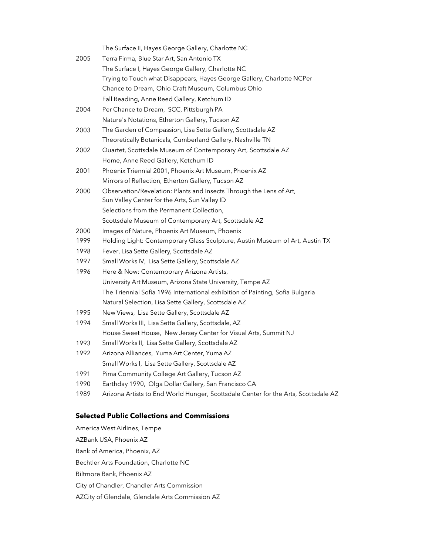|      | The Surface II, Hayes George Gallery, Charlotte NC                            |
|------|-------------------------------------------------------------------------------|
| 2005 | Terra Firma, Blue Star Art, San Antonio TX                                    |
|      | The Surface I, Hayes George Gallery, Charlotte NC                             |
|      | Trying to Touch what Disappears, Hayes George Gallery, Charlotte NCPer        |
|      | Chance to Dream, Ohio Craft Museum, Columbus Ohio                             |
|      | Fall Reading, Anne Reed Gallery, Ketchum ID                                   |
| 2004 | Per Chance to Dream, SCC, Pittsburgh PA                                       |
|      | Nature's Notations, Etherton Gallery, Tucson AZ                               |
| 2003 | The Garden of Compassion, Lisa Sette Gallery, Scottsdale AZ                   |
|      | Theoretically Botanicals, Cumberland Gallery, Nashville TN                    |
| 2002 | Quartet, Scottsdale Museum of Contemporary Art, Scottsdale AZ                 |
|      | Home, Anne Reed Gallery, Ketchum ID                                           |
| 2001 | Phoenix Triennial 2001, Phoenix Art Museum, Phoenix AZ                        |
|      | Mirrors of Reflection, Etherton Gallery, Tucson AZ                            |
| 2000 | Observation/Revelation: Plants and Insects Through the Lens of Art,           |
|      | Sun Valley Center for the Arts, Sun Valley ID                                 |
|      | Selections from the Permanent Collection,                                     |
|      | Scottsdale Museum of Contemporary Art, Scottsdale AZ                          |
| 2000 | Images of Nature, Phoenix Art Museum, Phoenix                                 |
| 1999 | Holding Light: Contemporary Glass Sculpture, Austin Museum of Art, Austin TX  |
| 1998 | Fever, Lisa Sette Gallery, Scottsdale AZ                                      |
| 1997 | Small Works IV, Lisa Sette Gallery, Scottsdale AZ                             |
| 1996 | Here & Now: Contemporary Arizona Artists,                                     |
|      | University Art Museum, Arizona State University, Tempe AZ                     |
|      | The Triennial Sofia 1996 International exhibition of Painting, Sofia Bulgaria |
|      | Natural Selection, Lisa Sette Gallery, Scottsdale AZ                          |
| 1995 | New Views, Lisa Sette Gallery, Scottsdale AZ                                  |
| 1994 | Small Works III, Lisa Sette Gallery, Scottsdale, AZ                           |
|      | House Sweet House, New Jersey Center for Visual Arts, Summit NJ               |
| 1993 | Small Works II, Lisa Sette Gallery, Scottsdale AZ                             |
| 1992 | Arizona Alliances, Yuma Art Center, Yuma AZ                                   |
|      | Small Works I, Lisa Sette Gallery, Scottsdale AZ                              |
| 1991 | Pima Community College Art Gallery, Tucson AZ                                 |
| 1990 | Earthday 1990, Olga Dollar Gallery, San Francisco CA                          |

1989 Arizona Artists to End World Hunger, Scottsdale Center for the Arts, Scottsdale AZ

## **Selected Public Collections and Commissions**

America West Airlines, Tempe AZBank USA, Phoenix AZ Bank of America, Phoenix, AZ Bechtler Arts Foundation, Charlotte NC Biltmore Bank, Phoenix AZ City of Chandler, Chandler Arts Commission AZCity of Glendale, Glendale Arts Commission AZ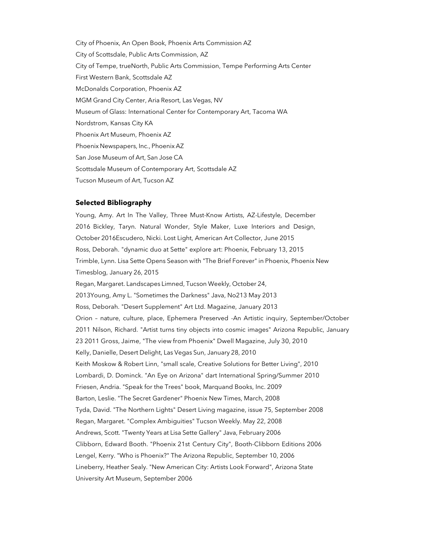City of Phoenix, An Open Book, Phoenix Arts Commission AZ City of Scottsdale, Public Arts Commission, AZ City of Tempe, trueNorth, Public Arts Commission, Tempe Performing Arts Center First Western Bank, Scottsdale AZ McDonalds Corporation, Phoenix AZ MGM Grand City Center, Aria Resort, Las Vegas, NV Museum of Glass: International Center for Contemporary Art, Tacoma WA Nordstrom, Kansas City KA Phoenix Art Museum, Phoenix AZ Phoenix Newspapers, Inc., Phoenix AZ San Jose Museum of Art, San Jose CA Scottsdale Museum of Contemporary Art, Scottsdale AZ Tucson Museum of Art, Tucson AZ

### **Selected Bibliography**

Young, Amy. Art In The Valley, Three Must-Know Artists, AZ-Lifestyle, December 2016 Bickley, Taryn. Natural Wonder, Style Maker, Luxe Interiors and Design, October 2016Escudero, Nicki. Lost Light, American Art Collector, June 2015 Ross, Deborah. "dynamic duo at Sette" explore art: Phoenix, February 13, 2015 Trimble, Lynn. Lisa Sette Opens Season with "The Brief Forever" in Phoenix, Phoenix New Timesblog, January 26, 2015 Regan, Margaret. Landscapes Limned, Tucson Weekly, October 24, 2013Young, Amy L. "Sometimes the Darkness" Java, No213 May 2013 Ross, Deborah. "Desert Supplement" Art Ltd. Magazine, January 2013 Orion – nature, culture, place, Ephemera Preserved -An Artistic inquiry, September/October 2011 Nilson, Richard. "Artist turns tiny objects into cosmic images" Arizona Republic, January 23 2011 Gross, Jaime, "The view from Phoenix" Dwell Magazine, July 30, 2010 Kelly, Danielle, Desert Delight, Las Vegas Sun, January 28, 2010 Keith Moskow & Robert Linn, "small scale, Creative Solutions for Better Living", 2010 Lombardi, D. Dominck. "An Eye on Arizona" dart International Spring/Summer 2010 Friesen, Andria. "Speak for the Trees" book, Marquand Books, Inc. 2009 Barton, Leslie. "The Secret Gardener" Phoenix New Times, March, 2008 Tyda, David. "The Northern Lights" Desert Living magazine, issue 75, September 2008 Regan, Margaret. "Complex Ambiguities" Tucson Weekly. May 22, 2008 Andrews, Scott. "Twenty Years at Lisa Sette Gallery" Java, February 2006 Clibborn, Edward Booth. "Phoenix 21st Century City", Booth-Clibborn Editions 2006 Lengel, Kerry. "Who is Phoenix?" The Arizona Republic, September 10, 2006 Lineberry, Heather Sealy. "New American City: Artists Look Forward", Arizona State University Art Museum, September 2006